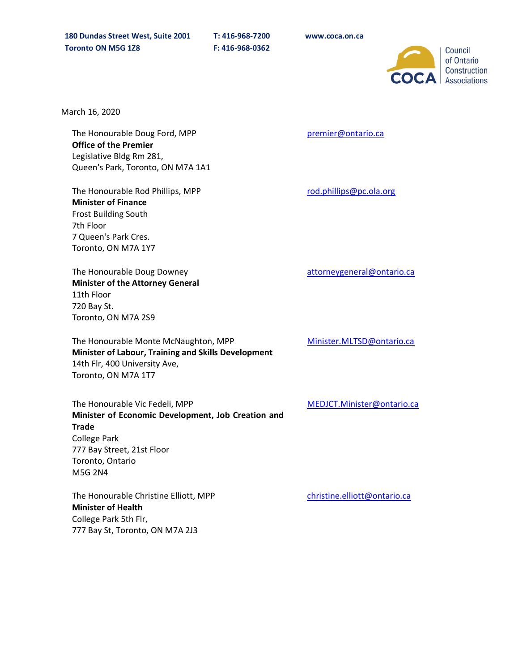

March 16, 2020

The Honourable Doug Ford, MPP **Office of the Premier** Legislative Bldg Rm 281, Queen's Park, Toronto, ON M7A 1A1

The Honourable Rod Phillips, MPP **Minister of Finance**  Frost Building South 7th Floor 7 Queen's Park Cres. Toronto, ON M7A 1Y7

The Honourable Doug Downey **Minister of the Attorney General** 11th Floor 720 Bay St. Toronto, ON M7A 2S9

The Honourable Monte McNaughton, MPP **Minister of Labour, Training and Skills Development** 14th Flr, 400 University Ave, Toronto, ON M7A 1T7

The Honourable Vic Fedeli, MPP **Minister of Economic Development, Job Creation and Trade** College Park 777 Bay Street, 21st Floor Toronto, Ontario M5G 2N4

The Honourable Christine Elliott, MPP **Minister of Health** College Park 5th Flr, 777 Bay St, Toronto, ON M7A 2J3

premier@ontario.ca

rod.phillips@pc.ola.org

attorneygeneral@ontario.ca

[Minister.MLTSD@ontario.ca](mailto:Minister.MLTSD@ontario.ca)

MEDJCT.Minister@ontario.ca

[christine.elliott@ontario.ca](mailto:%20christine.elliott@ontario.ca)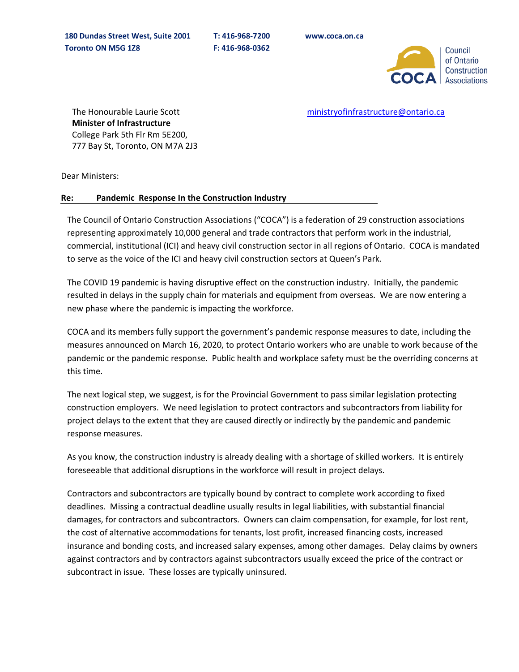

[ministryofinfrastructure@ontario.ca](https://www.lauriescottmpp.com/ministryofinfrastructure@ontario.ca)

The Honourable Laurie Scott **Minister of Infrastructure** College Park 5th Flr Rm 5E200, 777 Bay St, Toronto, ON M7A 2J3

Dear Ministers:

## **Re: Pandemic Response In the Construction Industry**

The Council of Ontario Construction Associations ("COCA") is a federation of 29 construction associations representing approximately 10,000 general and trade contractors that perform work in the industrial, commercial, institutional (ICI) and heavy civil construction sector in all regions of Ontario. COCA is mandated to serve as the voice of the ICI and heavy civil construction sectors at Queen's Park.

The COVID 19 pandemic is having disruptive effect on the construction industry. Initially, the pandemic resulted in delays in the supply chain for materials and equipment from overseas. We are now entering a new phase where the pandemic is impacting the workforce.

COCA and its members fully support the government's pandemic response measures to date, including the measures announced on March 16, 2020, to protect Ontario workers who are unable to work because of the pandemic or the pandemic response. Public health and workplace safety must be the overriding concerns at this time.

The next logical step, we suggest, is for the Provincial Government to pass similar legislation protecting construction employers. We need legislation to protect contractors and subcontractors from liability for project delays to the extent that they are caused directly or indirectly by the pandemic and pandemic response measures.

As you know, the construction industry is already dealing with a shortage of skilled workers. It is entirely foreseeable that additional disruptions in the workforce will result in project delays.

Contractors and subcontractors are typically bound by contract to complete work according to fixed deadlines. Missing a contractual deadline usually results in legal liabilities, with substantial financial damages, for contractors and subcontractors. Owners can claim compensation, for example, for lost rent, the cost of alternative accommodations for tenants, lost profit, increased financing costs, increased insurance and bonding costs, and increased salary expenses, among other damages. Delay claims by owners against contractors and by contractors against subcontractors usually exceed the price of the contract or subcontract in issue. These losses are typically uninsured.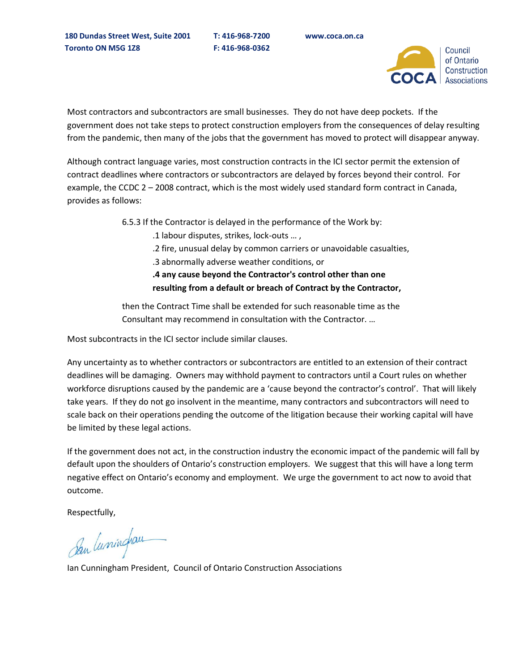

Most contractors and subcontractors are small businesses. They do not have deep pockets. If the government does not take steps to protect construction employers from the consequences of delay resulting from the pandemic, then many of the jobs that the government has moved to protect will disappear anyway.

Although contract language varies, most construction contracts in the ICI sector permit the extension of contract deadlines where contractors or subcontractors are delayed by forces beyond their control. For example, the CCDC 2 – 2008 contract, which is the most widely used standard form contract in Canada, provides as follows:

6.5.3 If the Contractor is delayed in the performance of the Work by:

.1 labour disputes, strikes, lock-outs … ,

.2 fire, unusual delay by common carriers or unavoidable casualties,

.3 abnormally adverse weather conditions, or

**.4 any cause beyond the Contractor's control other than one resulting from a default or breach of Contract by the Contractor,**

then the Contract Time shall be extended for such reasonable time as the Consultant may recommend in consultation with the Contractor. …

Most subcontracts in the ICI sector include similar clauses.

Any uncertainty as to whether contractors or subcontractors are entitled to an extension of their contract deadlines will be damaging. Owners may withhold payment to contractors until a Court rules on whether workforce disruptions caused by the pandemic are a 'cause beyond the contractor's control'. That will likely take years. If they do not go insolvent in the meantime, many contractors and subcontractors will need to scale back on their operations pending the outcome of the litigation because their working capital will have be limited by these legal actions.

If the government does not act, in the construction industry the economic impact of the pandemic will fall by default upon the shoulders of Ontario's construction employers. We suggest that this will have a long term negative effect on Ontario's economy and employment. We urge the government to act now to avoid that outcome.

Respectfully,

San luminghau

Ian Cunningham President, Council of Ontario Construction Associations